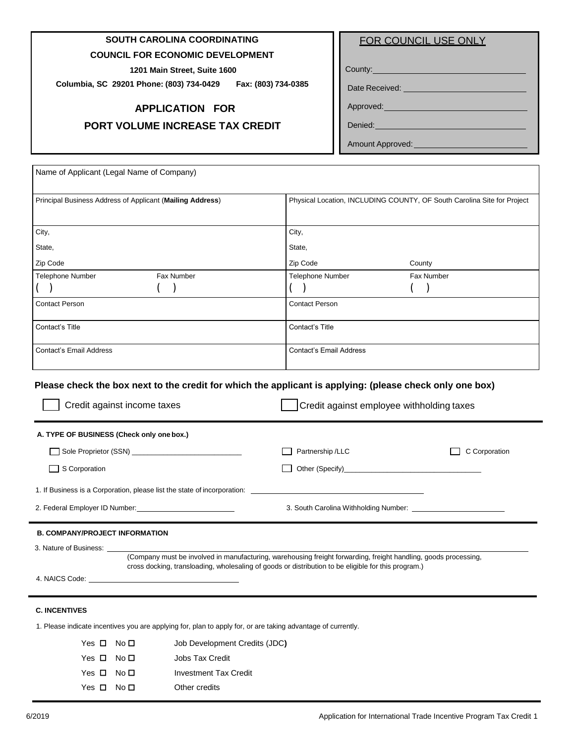# **SOUTH CAROLINA COORDINATING**

### **COUNCIL FOR ECONOMIC DEVELOPMENT**

**1201 Main Street, Suite 1600**

**Columbia, SC 29201 Phone: (803) 734-0429 Fax: (803) 734-0385**

### **APPLICATION FOR**

### **PORT VOLUME INCREASE TAX CREDIT**

|  |  |  | FOR COUNCIL USE ONLY |
|--|--|--|----------------------|
|--|--|--|----------------------|

County:

Date Received: \_\_\_\_\_\_\_\_\_\_\_\_\_

Approved:

Denied:

Amount Approved:

| Name of Applicant (Legal Name of Company)                                                                                                                                                                                      |                               |                                                                                                                                                                                                                        |                                                                         |
|--------------------------------------------------------------------------------------------------------------------------------------------------------------------------------------------------------------------------------|-------------------------------|------------------------------------------------------------------------------------------------------------------------------------------------------------------------------------------------------------------------|-------------------------------------------------------------------------|
| Principal Business Address of Applicant (Mailing Address)                                                                                                                                                                      |                               |                                                                                                                                                                                                                        | Physical Location, INCLUDING COUNTY, OF South Carolina Site for Project |
|                                                                                                                                                                                                                                |                               |                                                                                                                                                                                                                        |                                                                         |
| City,                                                                                                                                                                                                                          |                               | City,                                                                                                                                                                                                                  |                                                                         |
| State,                                                                                                                                                                                                                         |                               | State,                                                                                                                                                                                                                 |                                                                         |
| Zip Code                                                                                                                                                                                                                       |                               | Zip Code                                                                                                                                                                                                               | County                                                                  |
| Telephone Number                                                                                                                                                                                                               | Fax Number                    | <b>Telephone Number</b>                                                                                                                                                                                                | Fax Number                                                              |
| <b>Contact Person</b>                                                                                                                                                                                                          |                               | <b>Contact Person</b>                                                                                                                                                                                                  |                                                                         |
| Contact's Title                                                                                                                                                                                                                |                               | Contact's Title                                                                                                                                                                                                        |                                                                         |
| <b>Contact's Email Address</b>                                                                                                                                                                                                 |                               | <b>Contact's Email Address</b>                                                                                                                                                                                         |                                                                         |
| A. TYPE OF BUSINESS (Check only one box.)                                                                                                                                                                                      |                               | Partnership /LLC                                                                                                                                                                                                       | C Corporation                                                           |
| S Corporation                                                                                                                                                                                                                  |                               |                                                                                                                                                                                                                        |                                                                         |
| 1. If Business is a Corporation, please list the state of incorporation: ___________________________                                                                                                                           |                               |                                                                                                                                                                                                                        |                                                                         |
|                                                                                                                                                                                                                                |                               |                                                                                                                                                                                                                        |                                                                         |
| <b>B. COMPANY/PROJECT INFORMATION</b>                                                                                                                                                                                          |                               |                                                                                                                                                                                                                        |                                                                         |
| 3. Nature of Business:                                                                                                                                                                                                         |                               |                                                                                                                                                                                                                        |                                                                         |
|                                                                                                                                                                                                                                |                               | (Company must be involved in manufacturing, warehousing freight forwarding, freight handling, goods processing,<br>cross docking, transloading, wholesaling of goods or distribution to be eligible for this program.) |                                                                         |
| 4. NAICS Code: The Contract of the Contract of the Contract of the Contract of the Contract of the Contract of the Contract of the Contract of the Contract of the Contract of the Contract of the Contract of the Contract of |                               |                                                                                                                                                                                                                        |                                                                         |
| <b>C. INCENTIVES</b>                                                                                                                                                                                                           |                               |                                                                                                                                                                                                                        |                                                                         |
| 1. Please indicate incentives you are applying for, plan to apply for, or are taking advantage of currently.                                                                                                                   |                               |                                                                                                                                                                                                                        |                                                                         |
| Yes $\Box$ No $\Box$                                                                                                                                                                                                           | Job Development Credits (JDC) |                                                                                                                                                                                                                        |                                                                         |
| Yes $\Box$<br>No $\square$                                                                                                                                                                                                     | Jobs Tax Credit               |                                                                                                                                                                                                                        |                                                                         |
| Yes □ No □                                                                                                                                                                                                                     | <b>Investment Tax Credit</b>  |                                                                                                                                                                                                                        |                                                                         |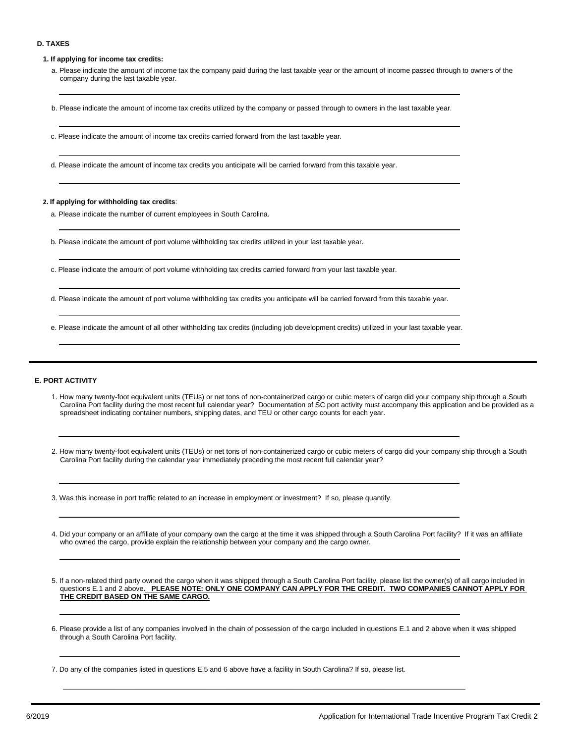#### **D. TAXES**

**1. If applying for income tax credits:**

- a. Please indicate the amount of income tax the company paid during the last taxable year or the amount of income passed through to owners of the company during the last taxable year.
- b. Please indicate the amount of income tax credits utilized by the company or passed through to owners in the last taxable year.
- c. Please indicate the amount of income tax credits carried forward from the last taxable year.
- d. Please indicate the amount of income tax credits you anticipate will be carried forward from this taxable year.

#### **2. If applying for withholding tax credits**:

- a. Please indicate the number of current employees in South Carolina.
- b. Please indicate the amount of port volume withholding tax credits utilized in your last taxable year.
- c. Please indicate the amount of port volume withholding tax credits carried forward from your last taxable year.
- d. Please indicate the amount of port volume withholding tax credits you anticipate will be carried forward from this taxable year.
- e. Please indicate the amount of all other withholding tax credits (including job development credits) utilized in your last taxable year.

#### **E. PORT ACTIVITY**

1. How many twenty-foot equivalent units (TEUs) or net tons of non-containerized cargo or cubic meters of cargo did your company ship through a South Carolina Port facility during the most recent full calendar year? Documentation of SC port activity must accompany this application and be provided as a spreadsheet indicating container numbers, shipping dates, and TEU or other cargo counts for each year.

2. How many twenty-foot equivalent units (TEUs) or net tons of non-containerized cargo or cubic meters of cargo did your company ship through a South Carolina Port facility during the calendar year immediately preceding the most recent full calendar year?

3. Was this increase in port traffic related to an increase in employment or investment? If so, please quantify.

- 4. Did your company or an affiliate of your company own the cargo at the time it was shipped through a South Carolina Port facility? If it was an affiliate who owned the cargo, provide explain the relationship between your company and the cargo owner.
- 5. If a non-related third party owned the cargo when it was shipped through a South Carolina Port facility, please list the owner(s) of all cargo included in questions E.1 and 2 above. **PLEASE NOTE: ONLY ONE COMPANY CAN APPLY FOR THE CREDIT. TWO COMPANIES CANNOT APPLY FOR THE CREDIT BASED ON THE SAME CARGO.**
- 6. Please provide a list of any companies involved in the chain of possession of the cargo included in questions E.1 and 2 above when it was shipped through a South Carolina Port facility.

\_\_\_\_\_\_\_\_\_\_\_\_\_\_\_\_\_\_\_\_\_\_\_\_\_\_\_\_\_\_\_\_\_\_\_\_\_\_\_\_\_\_\_\_\_\_\_\_\_\_\_\_\_\_\_\_\_\_\_\_\_\_\_\_\_\_\_\_\_\_\_\_\_\_\_\_\_\_\_\_\_\_\_\_\_\_\_\_\_\_\_\_\_\_\_\_\_\_\_\_\_\_

7. Do any of the companies listed in questions E.5 and 6 above have a facility in South Carolina? If so, please list.